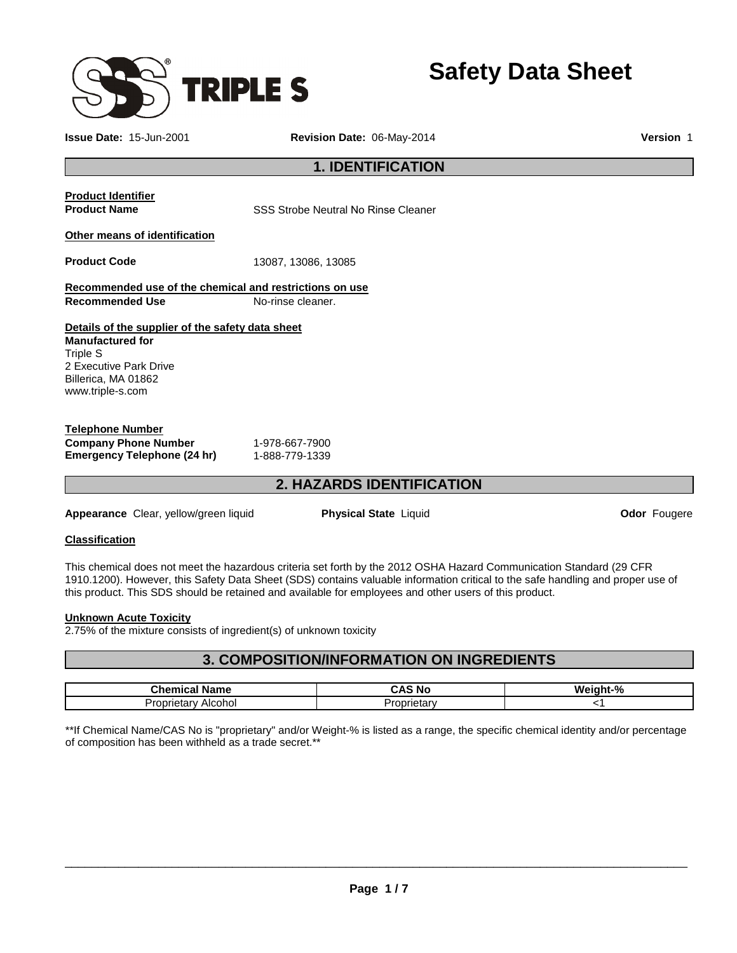

**Safety Data Sheet** 

**Issue Date:** 15-Jun-2001 **Revision Date:** 06-May-2014 **Version** 1

## **1. IDENTIFICATION**

# **Product Identifier**

**Product Name SSS** Strobe Neutral No Rinse Cleaner

#### **Other means of identification**

**Product Code** 13087, 13086, 13085

**Recommended use of the chemical and restrictions on use Recommended Use Mo-rinse cleaner.** 

**Details of the supplier of the safety data sheet Manufactured for** Triple S 2 Executive Park Drive Billerica, MA 01862 www.triple-s.com

#### **Telephone Number Company Phone Number** 1-978-667-7900<br> **Emergency Telephone (24 hr)** 1-888-779-1339 **Emergency Telephone (24 hr)**

# **2. HAZARDS IDENTIFICATION**

**Appearance** Clear, yellow/green liquid **Physical State** Liquid **Odor** Fougere

### **Classification**

This chemical does not meet the hazardous criteria set forth by the 2012 OSHA Hazard Communication Standard (29 CFR 1910.1200). However, this Safety Data Sheet (SDS) contains valuable information critical to the safe handling and proper use of this product. This SDS should be retained and available for employees and other users of this product.

#### **Unknown Acute Toxicity**

2.75% of the mixture consists of ingredient(s) of unknown toxicity

# **3. COMPOSITION/INFORMATION ON INGREDIENTS**

| <b>Chamu</b><br>ne              | - 81 -<br>טע | $\mathbf{a}$ |
|---------------------------------|--------------|--------------|
| <br>---<br>AICONOL<br>star<br>u | J.a          |              |

\*\*If Chemical Name/CAS No is "proprietary" and/or Weight-% is listed as a range, the specific chemical identity and/or percentage of composition has been withheld as a trade secret.\*\*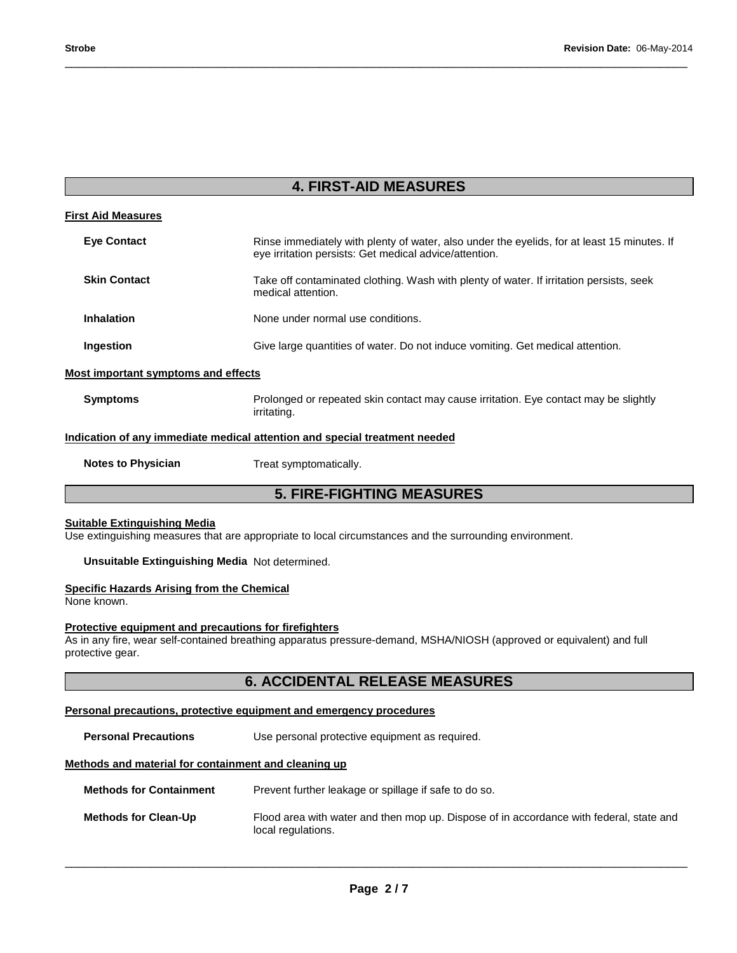# **4. FIRST-AID MEASURES**

\_\_\_\_\_\_\_\_\_\_\_\_\_\_\_\_\_\_\_\_\_\_\_\_\_\_\_\_\_\_\_\_\_\_\_\_\_\_\_\_\_\_\_\_\_\_\_\_\_\_\_\_\_\_\_\_\_\_\_\_\_\_\_\_\_\_\_\_\_\_\_\_\_\_\_\_\_\_\_\_\_\_\_\_\_\_\_\_\_\_\_\_\_

| <b>First Aid Measures</b>           |                                                                                                                                                       |
|-------------------------------------|-------------------------------------------------------------------------------------------------------------------------------------------------------|
| <b>Eve Contact</b>                  | Rinse immediately with plenty of water, also under the eyelids, for at least 15 minutes. If<br>eye irritation persists: Get medical advice/attention. |
| <b>Skin Contact</b>                 | Take off contaminated clothing. Wash with plenty of water. If irritation persists, seek<br>medical attention.                                         |
| <b>Inhalation</b>                   | None under normal use conditions.                                                                                                                     |
| Ingestion                           | Give large quantities of water. Do not induce vomiting. Get medical attention.                                                                        |
| Most important symptoms and effects |                                                                                                                                                       |
| <b>Symptoms</b>                     | Prolonged or repeated skin contact may cause irritation. Eye contact may be slightly<br>irritating.                                                   |
|                                     | Indication of any immediate medical attention and special treatment needed                                                                            |

**Notes to Physician**  Treat symptomatically.

**5. FIRE-FIGHTING MEASURES** 

#### **Suitable Extinguishing Media**

Use extinguishing measures that are appropriate to local circumstances and the surrounding environment.

**Unsuitable Extinguishing Media** Not determined.

#### **Specific Hazards Arising from the Chemical**

None known.

#### **Protective equipment and precautions for firefighters**

As in any fire, wear self-contained breathing apparatus pressure-demand, MSHA/NIOSH (approved or equivalent) and full protective gear.

# **6. ACCIDENTAL RELEASE MEASURES**

#### **Personal precautions, protective equipment and emergency procedures**

**Personal Precautions Use personal protective equipment as required.** 

#### **Methods and material for containment and cleaning up**

| <b>Methods for Containment</b> | Prevent further leakage or spillage if safe to do so.                                                         |
|--------------------------------|---------------------------------------------------------------------------------------------------------------|
| <b>Methods for Clean-Up</b>    | Flood area with water and then mop up. Dispose of in accordance with federal, state and<br>local regulations. |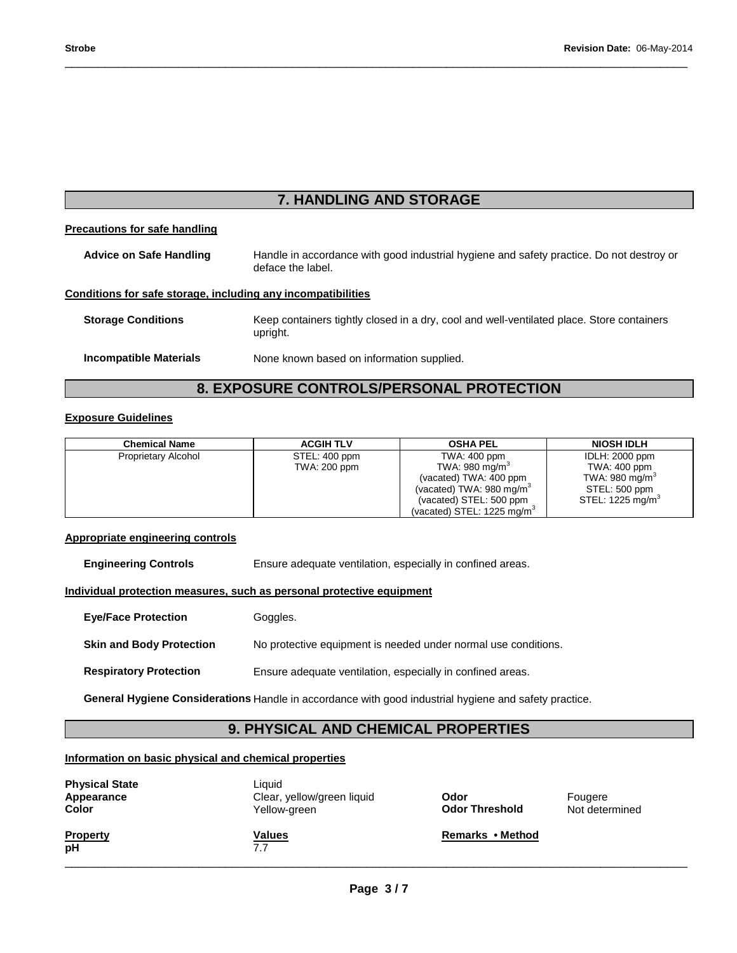# **7. HANDLING AND STORAGE**

\_\_\_\_\_\_\_\_\_\_\_\_\_\_\_\_\_\_\_\_\_\_\_\_\_\_\_\_\_\_\_\_\_\_\_\_\_\_\_\_\_\_\_\_\_\_\_\_\_\_\_\_\_\_\_\_\_\_\_\_\_\_\_\_\_\_\_\_\_\_\_\_\_\_\_\_\_\_\_\_\_\_\_\_\_\_\_\_\_\_\_\_\_

#### **Precautions for safe handling**

| <b>Advice on Safe Handling</b>                               | Handle in accordance with good industrial hygiene and safety practice. Do not destroy or<br>deface the label. |
|--------------------------------------------------------------|---------------------------------------------------------------------------------------------------------------|
| Conditions for safe storage, including any incompatibilities |                                                                                                               |
| <b>Storage Conditions</b>                                    | Keep containers tightly closed in a dry, cool and well-ventilated place. Store containers<br>upright.         |
| <b>Incompatible Materials</b>                                | None known based on information supplied.                                                                     |

# **8. EXPOSURE CONTROLS/PERSONAL PROTECTION**

### **Exposure Guidelines**

| <b>Chemical Name</b>       | <b>ACGIH TLV</b> | <b>OSHA PEL</b>                        | <b>NIOSH IDLH</b>            |
|----------------------------|------------------|----------------------------------------|------------------------------|
| <b>Proprietary Alcohol</b> | STEL: 400 ppm    | TWA: 400 ppm                           | IDLH: 2000 ppm               |
|                            | TWA: 200 ppm     | TWA: 980 mg/m <sup>3</sup>             | TWA: 400 ppm                 |
|                            |                  | (vacated) TWA: 400 ppm                 | TWA: 980 mg/m <sup>3</sup>   |
|                            |                  | (vacated) TWA: 980 mg/m <sup>3</sup>   | STEL: 500 ppm                |
|                            |                  | (vacated) STEL: 500 ppm                | STEL: 1225 mg/m <sup>3</sup> |
|                            |                  | (vacated) STEL: 1225 mg/m <sup>3</sup> |                              |

#### **Appropriate engineering controls**

**Engineering Controls Ensure adequate ventilation, especially in confined areas.** 

#### **Individual protection measures, such as personal protective equipment**

| <b>Eye/Face Protection</b>      | Goggles.                                                       |
|---------------------------------|----------------------------------------------------------------|
| <b>Skin and Body Protection</b> | No protective equipment is needed under normal use conditions. |
| <b>Respiratory Protection</b>   | Ensure adequate ventilation, especially in confined areas.     |

**General Hygiene Considerations** Handle in accordance with good industrial hygiene and safety practice.

# **9. PHYSICAL AND CHEMICAL PROPERTIES**

#### **Information on basic physical and chemical properties**

| <b>Physical State</b><br>Appearance<br><b>Color</b> | Liauid<br>Clear, yellow/green liquid<br>Yellow-green | Odor<br><b>Odor Threshold</b> | Fougere<br>Not determined |
|-----------------------------------------------------|------------------------------------------------------|-------------------------------|---------------------------|
| <b>Property</b><br>рH                               | <b>Values</b><br>7.7                                 | Remarks • Method              |                           |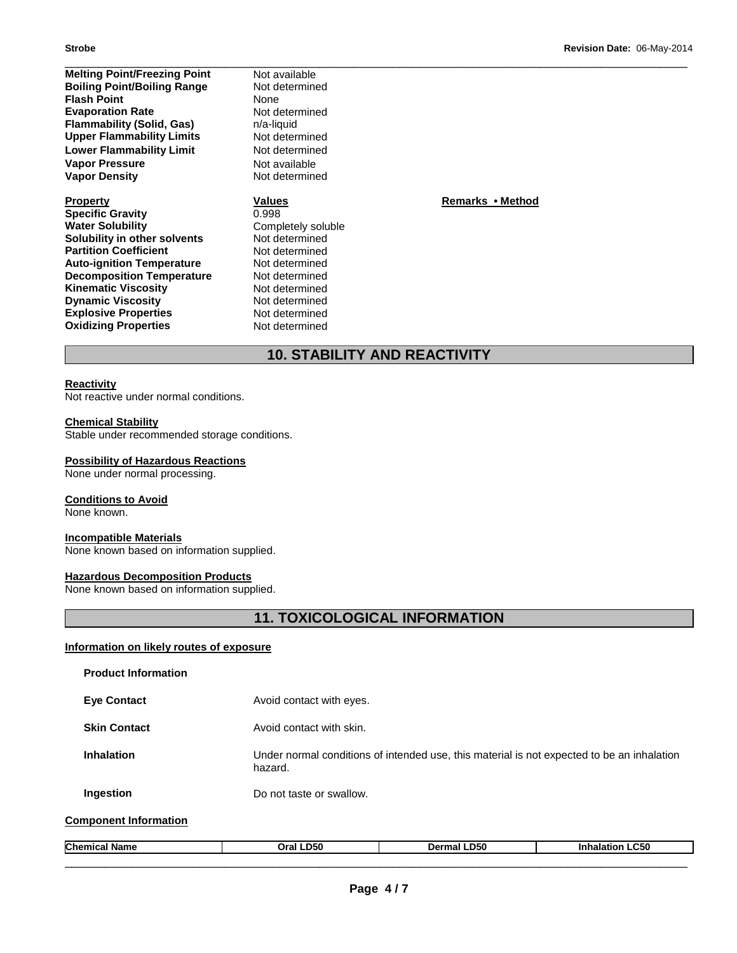| <b>Melting Point/Freezing Point</b> | Not available      |                  |  |
|-------------------------------------|--------------------|------------------|--|
| <b>Boiling Point/Boiling Range</b>  | Not determined     |                  |  |
| <b>Flash Point</b>                  | None               |                  |  |
| <b>Evaporation Rate</b>             | Not determined     |                  |  |
| <b>Flammability (Solid, Gas)</b>    | n/a-liquid         |                  |  |
| <b>Upper Flammability Limits</b>    | Not determined     |                  |  |
| <b>Lower Flammability Limit</b>     | Not determined     |                  |  |
| <b>Vapor Pressure</b>               | Not available      |                  |  |
| <b>Vapor Density</b>                | Not determined     |                  |  |
| <b>Property</b>                     | <b>Values</b>      | Remarks • Method |  |
| <b>Specific Gravity</b>             | 0.998              |                  |  |
| <b>Water Solubility</b>             | Completely soluble |                  |  |
| Solubility in other solvents        | Not determined     |                  |  |
| <b>Partition Coefficient</b>        | Not determined     |                  |  |
| <b>Auto-ignition Temperature</b>    | Not determined     |                  |  |
| <b>Decomposition Temperature</b>    | Not determined     |                  |  |

# **10. STABILITY AND REACTIVITY**

#### **Reactivity**

Not reactive under normal conditions.

#### **Chemical Stability**

**Oxidizing Properties** 

Stable under recommended storage conditions.

**Kinematic Viscosity Not determined Dynamic Viscosity Not determined Explosive Properties Not determined**<br> **Oxidizing Properties Not determined** 

#### **Possibility of Hazardous Reactions**

None under normal processing.

#### **Conditions to Avoid**

None known.

#### **Incompatible Materials**

None known based on information supplied.

#### **Hazardous Decomposition Products**

None known based on information supplied.

# **11. TOXICOLOGICAL INFORMATION**

#### **Information on likely routes of exposure**

| <b>Product Information</b>   |                          |                                                                                            |                        |
|------------------------------|--------------------------|--------------------------------------------------------------------------------------------|------------------------|
| <b>Eve Contact</b>           | Avoid contact with eyes. |                                                                                            |                        |
| <b>Skin Contact</b>          | Avoid contact with skin. |                                                                                            |                        |
| <b>Inhalation</b>            | hazard.                  | Under normal conditions of intended use, this material is not expected to be an inhalation |                        |
| Ingestion                    | Do not taste or swallow. |                                                                                            |                        |
| <b>Component Information</b> |                          |                                                                                            |                        |
| <b>Chemical Name</b>         | Oral LD50                | Dermal LD50                                                                                | <b>Inhalation LC50</b> |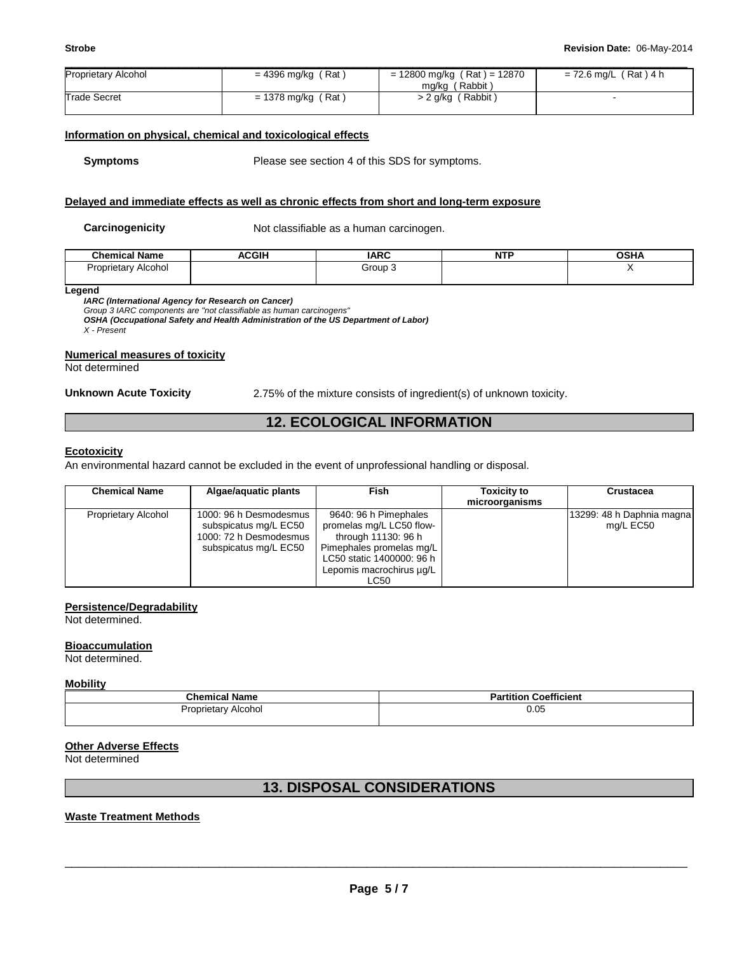| <b>Proprietary Alcohol</b> | = 4396 mg/kg (Rat)   | $= 12800$ mg/kg (Rat) = 12870<br>mg/kg (Rabbit) | = 72.6 mg/L (Rat) 4 h |
|----------------------------|----------------------|-------------------------------------------------|-----------------------|
| <b>Trade Secret</b>        | $= 1378$ mg/kg (Rat) | > 2 g/kg (Rabbit)                               |                       |

#### **Information on physical, chemical and toxicological effects**

**Symptoms** Please see section 4 of this SDS for symptoms.

#### **Delayed and immediate effects as well as chronic effects from short and long-term exposure**

**Carcinogenicity** Not classifiable as a human carcinogen.

| ' Name<br>Chemical  | <b>ACGIH</b> | <b>IARC</b> | NT'<br>. | <b>OCU</b><br>אחסי |
|---------------------|--------------|-------------|----------|--------------------|
| oprietar<br>Alcohol |              | Group       |          |                    |
|                     |              |             |          |                    |

**Legend** 

**IARC (International Agency for Research on Cancer)** 

Group 3 IARC components are "not classifiable as human carcinogens"

**OSHA (Occupational Safety and Health Administration of the US Department of Labor)**  X - Present

**Numerical measures of toxicity**

Not determined

**Unknown Acute Toxicity** 2.75% of the mixture consists of ingredient(s) of unknown toxicity.

# **12. ECOLOGICAL INFORMATION**

#### **Ecotoxicity**

An environmental hazard cannot be excluded in the event of unprofessional handling or disposal.

| <b>Chemical Name</b> | Algae/aguatic plants                                                                               | <b>Fish</b>                                                                                                                                                           | <b>Toxicity to</b><br>microorganisms | Crustacea                              |
|----------------------|----------------------------------------------------------------------------------------------------|-----------------------------------------------------------------------------------------------------------------------------------------------------------------------|--------------------------------------|----------------------------------------|
| Proprietary Alcohol  | 1000: 96 h Desmodesmus<br>subspicatus mg/L EC50<br>1000: 72 h Desmodesmus<br>subspicatus mg/L EC50 | 9640: 96 h Pimephales<br>promelas mg/L LC50 flow-<br>through 11130: 96 h<br>Pimephales promelas mg/L<br>LC50 static 1400000: 96 h<br>Lepomis macrochirus ug/L<br>LC50 |                                      | 13299: 48 h Daphnia magna<br>mg/L EC50 |

#### **Persistence/Degradability**

Not determined.

#### **Bioaccumulation**

Not determined.

#### **Mobility**

| <b>Chemical Name</b>   | <b>Coefficient</b><br>Partition |
|------------------------|---------------------------------|
| Alcohol<br>Proprietary | 0.05                            |

#### **Other Adverse Effects**

Not determined

# **13. DISPOSAL CONSIDERATIONS**

#### **Waste Treatment Methods**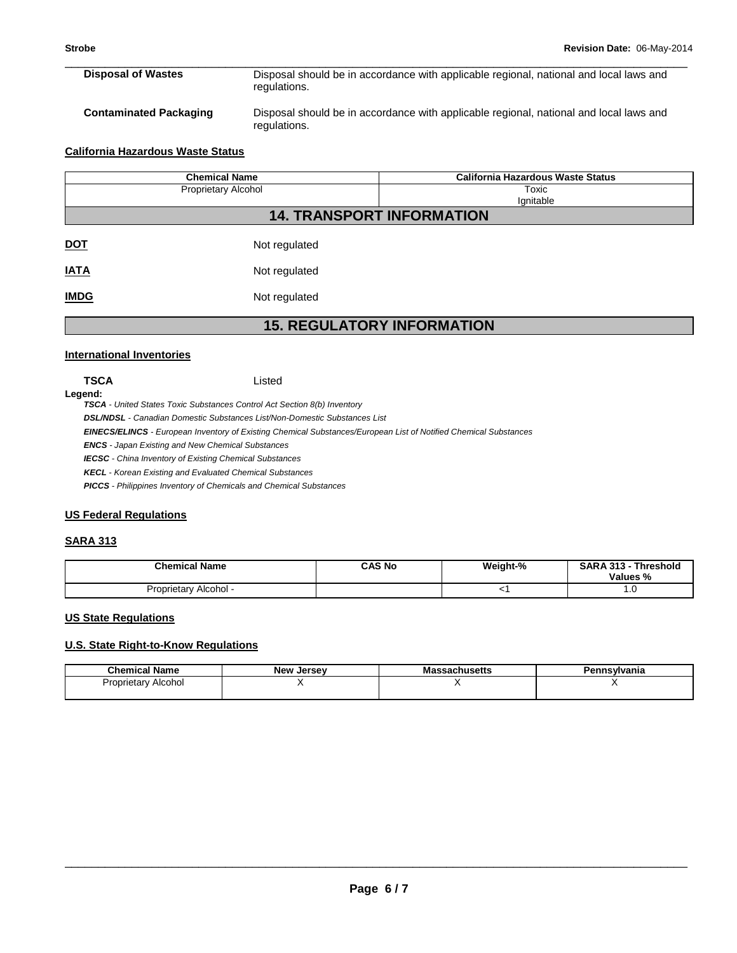| <b>Disposal of Wastes</b> | Disposal should be in accordance with applicable regional, national and local laws and<br>regulations. |
|---------------------------|--------------------------------------------------------------------------------------------------------|
|                           | .                                                                                                      |

**Contaminated Packaging** Disposal should be in accordance with applicable regional, national and local laws and regulations.

#### **California Hazardous Waste Status**

| <b>Chemical Name</b>             |               | <b>California Hazardous Waste Status</b> |  |  |
|----------------------------------|---------------|------------------------------------------|--|--|
| <b>Proprietary Alcohol</b>       |               | Toxic<br>Ignitable                       |  |  |
| <b>14. TRANSPORT INFORMATION</b> |               |                                          |  |  |
| <b>DOT</b>                       | Not regulated |                                          |  |  |
| <b>IATA</b>                      | Not regulated |                                          |  |  |
| <b>IMDG</b>                      | Not regulated |                                          |  |  |

# **15. REGULATORY INFORMATION**

#### **International Inventories**

**TSCA** Listed

**Legend:** 

**TSCA** - United States Toxic Substances Control Act Section 8(b) Inventory

**DSL/NDSL** - Canadian Domestic Substances List/Non-Domestic Substances List

**EINECS/ELINCS** - European Inventory of Existing Chemical Substances/European List of Notified Chemical Substances

**ENCS** - Japan Existing and New Chemical Substances

**IECSC** - China Inventory of Existing Chemical Substances

**KECL** - Korean Existing and Evaluated Chemical Substances

**PICCS** - Philippines Inventory of Chemicals and Chemical Substances

### **US Federal Regulations**

### **SARA 313**

| <b>Chemical Name</b>  | CAS No | Weight-% | <b>SARA 313</b><br><b>Threshold</b><br>Values % |
|-----------------------|--------|----------|-------------------------------------------------|
| Proprietary Alcohol - |        |          | 1.V                                             |

#### **US State Regulations**

### **U.S. State Right-to-Know Regulations**

| <b>Chemical Name</b>               | <b>New Jersey</b> | sachusetts | `nsvlvania |
|------------------------------------|-------------------|------------|------------|
| Alcohol<br>Proprietar <sup>,</sup> |                   |            |            |